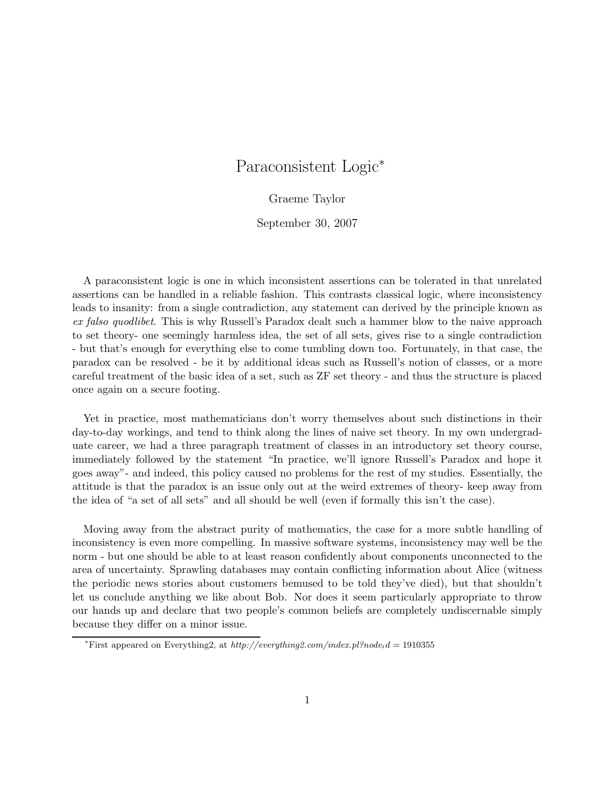# Paraconsistent Logic<sup>∗</sup>

Graeme Taylor

September 30, 2007

A paraconsistent logic is one in which inconsistent assertions can be tolerated in that unrelated assertions can be handled in a reliable fashion. This contrasts classical logic, where inconsistency leads to insanity: from a single contradiction, any statement can derived by the principle known as ex falso quodlibet. This is why Russell's Paradox dealt such a hammer blow to the naive approach to set theory- one seemingly harmless idea, the set of all sets, gives rise to a single contradiction - but that's enough for everything else to come tumbling down too. Fortunately, in that case, the paradox can be resolved - be it by additional ideas such as Russell's notion of classes, or a more careful treatment of the basic idea of a set, such as ZF set theory - and thus the structure is placed once again on a secure footing.

Yet in practice, most mathematicians don't worry themselves about such distinctions in their day-to-day workings, and tend to think along the lines of naive set theory. In my own undergraduate career, we had a three paragraph treatment of classes in an introductory set theory course, immediately followed by the statement "In practice, we'll ignore Russell's Paradox and hope it goes away"- and indeed, this policy caused no problems for the rest of my studies. Essentially, the attitude is that the paradox is an issue only out at the weird extremes of theory- keep away from the idea of "a set of all sets" and all should be well (even if formally this isn't the case).

Moving away from the abstract purity of mathematics, the case for a more subtle handling of inconsistency is even more compelling. In massive software systems, inconsistency may well be the norm - but one should be able to at least reason confidently about components unconnected to the area of uncertainty. Sprawling databases may contain conflicting information about Alice (witness the periodic news stories about customers bemused to be told they've died), but that shouldn't let us conclude anything we like about Bob. Nor does it seem particularly appropriate to throw our hands up and declare that two people's common beliefs are completely undiscernable simply because they differ on a minor issue.

<sup>&</sup>lt;sup>\*</sup>First appeared on Everything2, at  $http://everything2.com/index.pl?node_i.d = 1910355$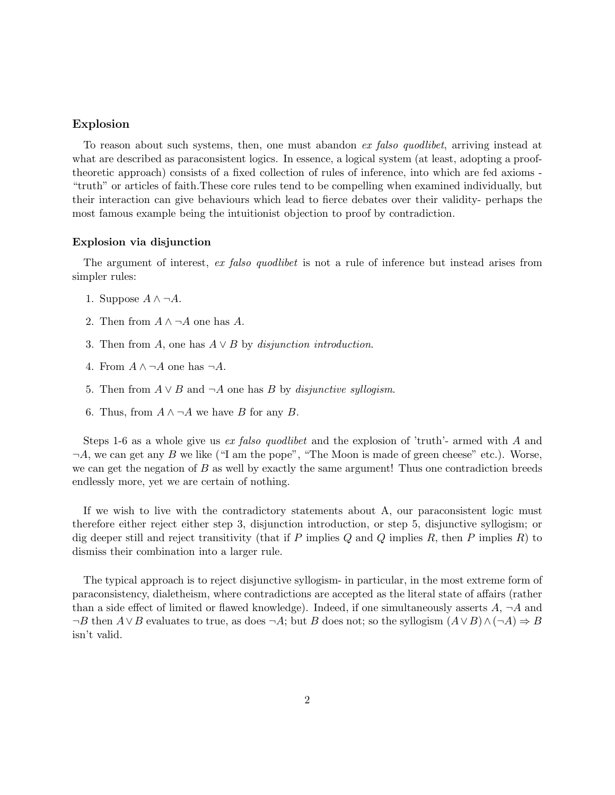### Explosion

To reason about such systems, then, one must abandon ex falso quodlibet, arriving instead at what are described as paraconsistent logics. In essence, a logical system (at least, adopting a prooftheoretic approach) consists of a fixed collection of rules of inference, into which are fed axioms - "truth" or articles of faith.These core rules tend to be compelling when examined individually, but their interaction can give behaviours which lead to fierce debates over their validity- perhaps the most famous example being the intuitionist objection to proof by contradiction.

## Explosion via disjunction

The argument of interest, ex falso quodlibet is not a rule of inference but instead arises from simpler rules:

- 1. Suppose  $A \wedge \neg A$ .
- 2. Then from  $A \wedge \neg A$  one has A.
- 3. Then from A, one has  $A \vee B$  by disjunction introduction.
- 4. From  $A \wedge \neg A$  one has  $\neg A$ .
- 5. Then from  $A \vee B$  and  $\neg A$  one has B by *disjunctive syllogism*.
- 6. Thus, from  $A \wedge \neg A$  we have B for any B.

Steps 1-6 as a whole give us *ex falso quodlibet* and the explosion of 'truth'- armed with A and  $\neg A$ , we can get any B we like ("I am the pope", "The Moon is made of green cheese" etc.). Worse, we can get the negation of  $B$  as well by exactly the same argument! Thus one contradiction breeds endlessly more, yet we are certain of nothing.

If we wish to live with the contradictory statements about A, our paraconsistent logic must therefore either reject either step 3, disjunction introduction, or step 5, disjunctive syllogism; or dig deeper still and reject transitivity (that if P implies  $Q$  and  $Q$  implies  $R$ , then P implies  $R$ ) to dismiss their combination into a larger rule.

The typical approach is to reject disjunctive syllogism- in particular, in the most extreme form of paraconsistency, dialetheism, where contradictions are accepted as the literal state of affairs (rather than a side effect of limited or flawed knowledge). Indeed, if one simultaneously asserts  $A$ ,  $\neg A$  and  $\neg B$  then  $A \lor B$  evaluates to true, as does  $\neg A$ ; but B does not; so the syllogism  $(A \lor B) \land (\neg A) \Rightarrow B$ isn't valid.